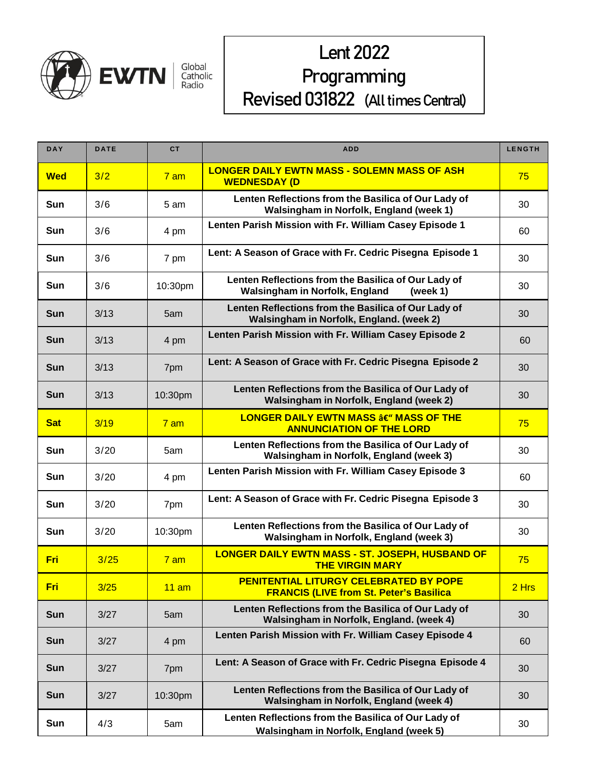

# **Lent 2022** Programming Revised 031822 (All times Central)

| <b>DAY</b> | <b>DATE</b> | <b>CT</b>       | <b>ADD</b>                                                                                        | <b>LENGTH</b> |
|------------|-------------|-----------------|---------------------------------------------------------------------------------------------------|---------------|
| <b>Wed</b> | 3/2         | 7 <sub>am</sub> | <b>LONGER DAILY EWTN MASS - SOLEMN MASS OF ASH</b><br><b>WEDNESDAY (D</b>                         | 75            |
| Sun        | 3/6         | 5 am            | Lenten Reflections from the Basilica of Our Lady of<br>Walsingham in Norfolk, England (week 1)    | 30            |
| Sun        | 3/6         | 4 pm            | Lenten Parish Mission with Fr. William Casey Episode 1                                            | 60            |
| Sun        | 3/6         | 7 pm            | Lent: A Season of Grace with Fr. Cedric Pisegna Episode 1                                         | 30            |
| Sun        | 3/6         | 10:30pm         | Lenten Reflections from the Basilica of Our Lady of<br>Walsingham in Norfolk, England<br>(week 1) | 30            |
| <b>Sun</b> | 3/13        | 5am             | Lenten Reflections from the Basilica of Our Lady of<br>Walsingham in Norfolk, England. (week 2)   | 30            |
| <b>Sun</b> | 3/13        | 4 pm            | Lenten Parish Mission with Fr. William Casey Episode 2                                            | 60            |
| <b>Sun</b> | 3/13        | 7pm             | Lent: A Season of Grace with Fr. Cedric Pisegna Episode 2                                         | 30            |
| <b>Sun</b> | 3/13        | 10:30pm         | Lenten Reflections from the Basilica of Our Lady of<br>Walsingham in Norfolk, England (week 2)    | 30            |
| <b>Sat</b> | 3/19        | $7$ am          | LONGER DAILY EWTN MASS â€" MASS OF THE<br><b>ANNUNCIATION OF THE LORD</b>                         | 75            |
| Sun        | 3/20        | 5am             | Lenten Reflections from the Basilica of Our Lady of<br>Walsingham in Norfolk, England (week 3)    | 30            |
| Sun        | 3/20        | 4 pm            | Lenten Parish Mission with Fr. William Casey Episode 3                                            | 60            |
| Sun        | 3/20        | 7pm             | Lent: A Season of Grace with Fr. Cedric Pisegna Episode 3                                         | 30            |
| Sun        | 3/20        | 10:30pm         | Lenten Reflections from the Basilica of Our Lady of<br>Walsingham in Norfolk, England (week 3)    | 30            |
| <b>Fri</b> | 3/25        | 7 <sub>am</sub> | <b>LONGER DAILY EWTN MASS - ST. JOSEPH, HUSBAND OF</b><br><b>THE VIRGIN MARY</b>                  | 75            |
| <b>Fri</b> | 3/25        | 11 am           | PENITENTIAL LITURGY CELEBRATED BY POPE<br><b>FRANCIS (LIVE from St. Peter's Basilica</b>          | 2 Hrs         |
| <b>Sun</b> | 3/27        | 5am             | Lenten Reflections from the Basilica of Our Lady of<br>Walsingham in Norfolk, England. (week 4)   | 30            |
| <b>Sun</b> | 3/27        | 4 pm            | Lenten Parish Mission with Fr. William Casey Episode 4                                            | 60            |
| <b>Sun</b> | 3/27        | 7pm             | Lent: A Season of Grace with Fr. Cedric Pisegna Episode 4                                         | 30            |
| <b>Sun</b> | 3/27        | 10:30pm         | Lenten Reflections from the Basilica of Our Lady of<br>Walsingham in Norfolk, England (week 4)    | 30            |
| Sun        | 4/3         | 5am             | Lenten Reflections from the Basilica of Our Lady of<br>Walsingham in Norfolk, England (week 5)    | 30            |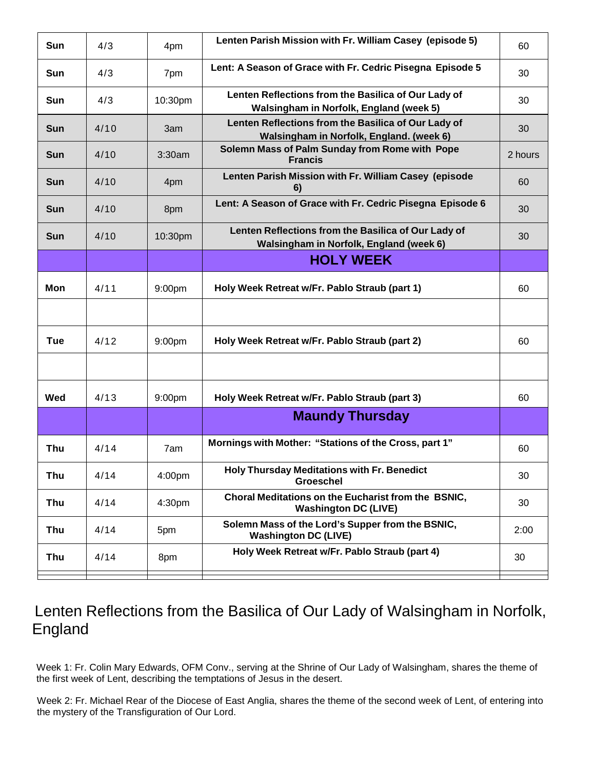| Sun        | 4/3  | 4pm     | Lenten Parish Mission with Fr. William Casey (episode 5)                                        | 60      |
|------------|------|---------|-------------------------------------------------------------------------------------------------|---------|
| Sun        | 4/3  | 7pm     | Lent: A Season of Grace with Fr. Cedric Pisegna Episode 5                                       | 30      |
| Sun        | 4/3  | 10:30pm | Lenten Reflections from the Basilica of Our Lady of<br>Walsingham in Norfolk, England (week 5)  | 30      |
| <b>Sun</b> | 4/10 | 3am     | Lenten Reflections from the Basilica of Our Lady of<br>Walsingham in Norfolk, England. (week 6) | 30      |
| <b>Sun</b> | 4/10 | 3:30am  | Solemn Mass of Palm Sunday from Rome with Pope<br><b>Francis</b>                                | 2 hours |
| <b>Sun</b> | 4/10 | 4pm     | Lenten Parish Mission with Fr. William Casey (episode<br>6)                                     | 60      |
| <b>Sun</b> | 4/10 | 8pm     | Lent: A Season of Grace with Fr. Cedric Pisegna Episode 6                                       | 30      |
| <b>Sun</b> | 4/10 | 10:30pm | Lenten Reflections from the Basilica of Our Lady of<br>Walsingham in Norfolk, England (week 6)  | 30      |
|            |      |         | <b>HOLY WEEK</b>                                                                                |         |
| <b>Mon</b> | 4/11 | 9:00pm  | Holy Week Retreat w/Fr. Pablo Straub (part 1)                                                   | 60      |
|            |      |         |                                                                                                 |         |
| <b>Tue</b> | 4/12 | 9:00pm  | Holy Week Retreat w/Fr. Pablo Straub (part 2)                                                   | 60      |
|            |      |         |                                                                                                 |         |
| Wed        | 4/13 | 9:00pm  | Holy Week Retreat w/Fr. Pablo Straub (part 3)                                                   | 60      |
|            |      |         | <b>Maundy Thursday</b>                                                                          |         |
| Thu        | 4/14 | 7am     | Mornings with Mother: "Stations of the Cross, part 1"                                           | 60      |
| <b>Thu</b> | 4/14 | 4:00pm  | <b>Holy Thursday Meditations with Fr. Benedict</b><br><b>Groeschel</b>                          | 30      |
| <b>Thu</b> | 4/14 | 4:30pm  | Choral Meditations on the Eucharist from the BSNIC,<br><b>Washington DC (LIVE)</b>              | 30      |
| <b>Thu</b> | 4/14 | 5pm     | Solemn Mass of the Lord's Supper from the BSNIC,<br><b>Washington DC (LIVE)</b>                 | 2:00    |
| Thu        | 4/14 | 8pm     | Holy Week Retreat w/Fr. Pablo Straub (part 4)                                                   | 30      |
|            |      |         |                                                                                                 |         |

## Lenten Reflections from the Basilica of Our Lady of Walsingham in Norfolk, England

Week 1: Fr. Colin Mary Edwards, OFM Conv., serving at the Shrine of Our Lady of Walsingham, shares the theme of the first week of Lent, describing the temptations of Jesus in the desert.

Week 2: Fr. Michael Rear of the Diocese of East Anglia, shares the theme of the second week of Lent, of entering into the mystery of the Transfiguration of Our Lord.